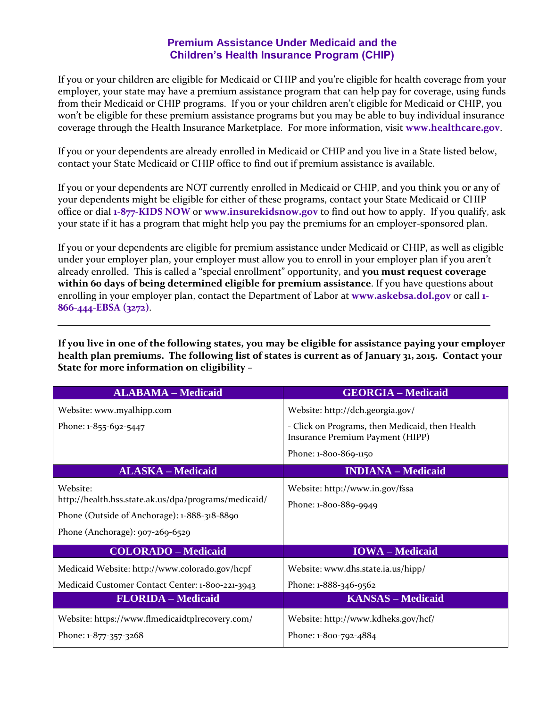## **Premium Assistance Under Medicaid and the Children's Health Insurance Program (CHIP)**

If you or your children are eligible for Medicaid or CHIP and you're eligible for health coverage from your employer, your state may have a premium assistance program that can help pay for coverage, using funds from their Medicaid or CHIP programs. If you or your children aren't eligible for Medicaid or CHIP, you won't be eligible for these premium assistance programs but you may be able to buy individual insurance coverage through the Health Insurance Marketplace. For more information, visit **[www.healthcare.gov](http://www.healthcare.gov/)**.

If you or your dependents are already enrolled in Medicaid or CHIP and you live in a State listed below, contact your State Medicaid or CHIP office to find out if premium assistance is available.

If you or your dependents are NOT currently enrolled in Medicaid or CHIP, and you think you or any of your dependents might be eligible for either of these programs, contact your State Medicaid or CHIP office or dial **1-877-KIDS NOW** or **www.insurekidsnow.gov** to find out how to apply. If you qualify, ask your state if it has a program that might help you pay the premiums for an employer-sponsored plan.

If you or your dependents are eligible for premium assistance under Medicaid or CHIP, as well as eligible under your employer plan, your employer must allow you to enroll in your employer plan if you aren't already enrolled. This is called a "special enrollment" opportunity, and **you must request coverage within 60 days of being determined eligible for premium assistance**. If you have questions about enrolling in your employer plan, contact the Department of Labor at **[www.askebsa.dol.gov](http://www.askebsa.dol.gov/)** or call **1- 866-444-EBSA (3272)**.

**If you live in one of the following states, you may be eligible for assistance paying your employer health plan premiums. The following list of states is current as of January 31, 2015. Contact your State for more information on eligibility –**

| <b>ALABAMA - Medicaid</b>                                                                                                                           | <b>GEORGIA - Medicaid</b>                                                           |
|-----------------------------------------------------------------------------------------------------------------------------------------------------|-------------------------------------------------------------------------------------|
| Website: www.myalhipp.com                                                                                                                           | Website: http://dch.georgia.gov/                                                    |
| Phone: 1-855-692-5447                                                                                                                               | - Click on Programs, then Medicaid, then Health<br>Insurance Premium Payment (HIPP) |
|                                                                                                                                                     | Phone: 1-800-869-1150                                                               |
| <b>ALASKA - Medicaid</b>                                                                                                                            | <b>INDIANA</b> – Medicaid                                                           |
| Website:<br>http://health.hss.state.ak.us/dpa/programs/medicaid/<br>Phone (Outside of Anchorage): 1-888-318-8890<br>Phone (Anchorage): 907-269-6529 | Website: http://www.in.gov/fssa<br>Phone: 1-800-889-9949                            |
| <b>COLORADO - Medicaid</b>                                                                                                                          | <b>IOWA</b> – Medicaid                                                              |
| Medicaid Website: http://www.colorado.gov/hcpf<br>Medicaid Customer Contact Center: 1-800-221-3943                                                  | Website: www.dhs.state.ia.us/hipp/<br>Phone: 1-888-346-9562                         |
| <b>FLORIDA</b> – Medicaid                                                                                                                           | <b>KANSAS</b> – Medicaid                                                            |
| Website: https://www.flmedicaidtplrecovery.com/<br>Phone: 1-877-357-3268                                                                            | Website: http://www.kdheks.gov/hcf/<br>Phone: 1-800-792-4884                        |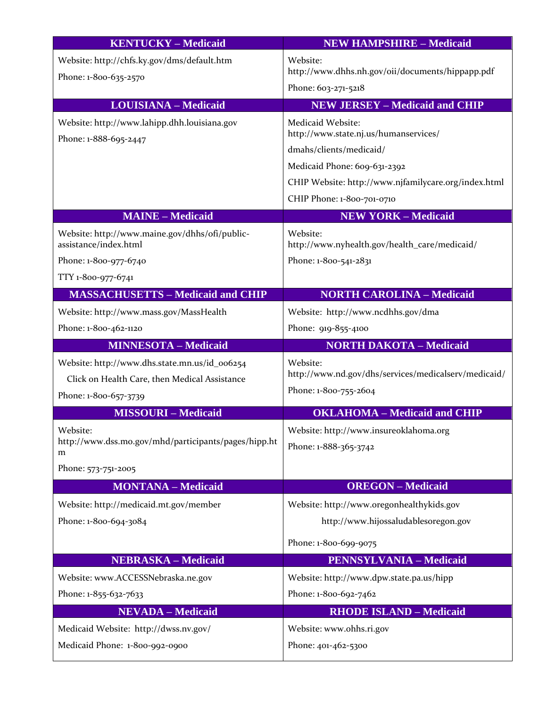| <b>KENTUCKY - Medicaid</b>                                            | <b>NEW HAMPSHIRE - Medicaid</b>                            |
|-----------------------------------------------------------------------|------------------------------------------------------------|
| Website: http://chfs.ky.gov/dms/default.htm                           | Website:                                                   |
| Phone: 1-800-635-2570                                                 | http://www.dhhs.nh.gov/oii/documents/hippapp.pdf           |
|                                                                       | Phone: 603-271-5218                                        |
| <b>LOUISIANA - Medicaid</b>                                           | <b>NEW JERSEY - Medicaid and CHIP</b>                      |
| Website: http://www.lahipp.dhh.louisiana.gov<br>Phone: 1-888-695-2447 | Medicaid Website:<br>http://www.state.nj.us/humanservices/ |
|                                                                       | dmahs/clients/medicaid/                                    |
|                                                                       | Medicaid Phone: 609-631-2392                               |
|                                                                       | CHIP Website: http://www.njfamilycare.org/index.html       |
|                                                                       | CHIP Phone: 1-800-701-0710                                 |
| <b>MAINE - Medicaid</b>                                               | <b>NEW YORK - Medicaid</b>                                 |
| Website: http://www.maine.gov/dhhs/ofi/public-                        | Website:                                                   |
| assistance/index.html                                                 | http://www.nyhealth.gov/health_care/medicaid/              |
| Phone: 1-800-977-6740                                                 | Phone: 1-800-541-2831                                      |
| TTY 1-800-977-6741                                                    |                                                            |
| <b>MASSACHUSETTS - Medicaid and CHIP</b>                              | <b>NORTH CAROLINA - Medicaid</b>                           |
| Website: http://www.mass.gov/MassHealth                               | Website: http://www.ncdhhs.gov/dma                         |
| Phone: 1-800-462-1120                                                 | Phone: 919-855-4100                                        |
| <b>MINNESOTA - Medicaid</b>                                           | <b>NORTH DAKOTA - Medicaid</b>                             |
| Website: http://www.dhs.state.mn.us/id_006254                         | Website:                                                   |
| Click on Health Care, then Medical Assistance                         | http://www.nd.gov/dhs/services/medicalserv/medicaid/       |
| Phone: 1-800-657-3739                                                 | Phone: 1-800-755-2604                                      |
| <b>MISSOURI-Medicaid</b>                                              | <b>OKLAHOMA - Medicaid and CHIP</b>                        |
| Website:                                                              | Website: http://www.insureoklahoma.org                     |
| http://www.dss.mo.gov/mhd/participants/pages/hipp.ht<br>m             | Phone: 1-888-365-3742                                      |
| Phone: 573-751-2005                                                   |                                                            |
| <b>MONTANA - Medicaid</b>                                             | <b>OREGON</b> - Medicaid                                   |
| Website: http://medicaid.mt.gov/member                                | Website: http://www.oregonhealthykids.gov                  |
| Phone: 1-800-694-3084                                                 | http://www.hijossaludablesoregon.gov                       |
|                                                                       | Phone: 1-800-699-9075                                      |
| <b>NEBRASKA - Medicaid</b>                                            | <b>PENNSYLVANIA - Medicaid</b>                             |
| Website: www.ACCESSNebraska.ne.gov                                    | Website: http://www.dpw.state.pa.us/hipp                   |
| Phone: 1-855-632-7633                                                 | Phone: 1-800-692-7462                                      |
| <b>NEVADA - Medicaid</b>                                              | <b>RHODE ISLAND - Medicaid</b>                             |
| Medicaid Website: http://dwss.nv.gov/                                 | Website: www.ohhs.ri.gov                                   |
| Medicaid Phone: 1-800-992-0900                                        | Phone: 401-462-5300                                        |
|                                                                       |                                                            |